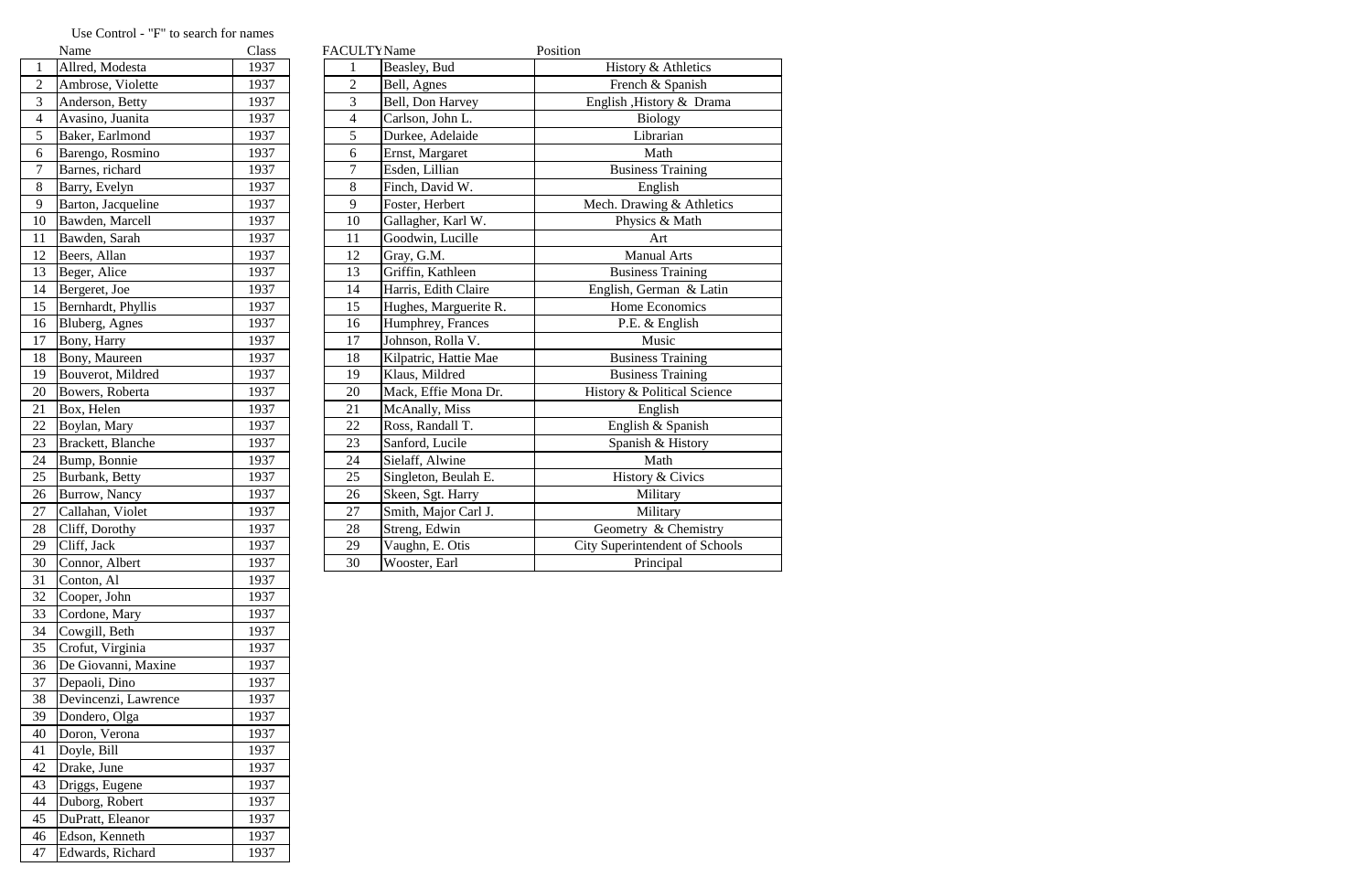|                         | Name                   | Class | <b>FACULTY</b> Name |                       | Position                              |
|-------------------------|------------------------|-------|---------------------|-----------------------|---------------------------------------|
| $\mathbf{1}$            | Allred, Modesta        | 1937  |                     | Beasley, Bud          | History & Athletics                   |
| $\overline{2}$          | Ambrose, Violette      | 1937  | $\overline{2}$      | Bell, Agnes           | French & Spanish                      |
| $\overline{\mathbf{3}}$ | Anderson, Betty        | 1937  | 3                   | Bell, Don Harvey      | English , History & Drama             |
| $\overline{4}$          | Avasino, Juanita       | 1937  | $\overline{4}$      | Carlson, John L.      | <b>Biology</b>                        |
| $\overline{5}$          | Baker, Earlmond        | 1937  | 5                   | Durkee, Adelaide      | Librarian                             |
| 6                       | Barengo, Rosmino       | 1937  | 6                   | Ernst, Margaret       | Math                                  |
| $\overline{7}$          | Barnes, richard        | 1937  | 7                   | Esden, Lillian        | <b>Business Training</b>              |
| 8                       | Barry, Evelyn          | 1937  | 8                   | Finch, David W.       | English                               |
| 9                       | Barton, Jacqueline     | 1937  | 9                   | Foster, Herbert       | Mech. Drawing & Athletics             |
| 10                      | Bawden, Marcell        | 1937  | 10                  | Gallagher, Karl W.    | Physics & Math                        |
| 11                      | Bawden, Sarah          | 1937  | 11                  | Goodwin, Lucille      | Art                                   |
| $\overline{12}$         | Beers, Allan           | 1937  | 12                  | Gray, G.M.            | <b>Manual Arts</b>                    |
| 13                      | Beger, Alice           | 1937  | 13                  | Griffin, Kathleen     | <b>Business Training</b>              |
| 14                      | Bergeret, Joe          | 1937  | 14                  | Harris, Edith Claire  | English, German & Latin               |
| 15                      | Bernhardt, Phyllis     | 1937  | 15                  | Hughes, Marguerite R. | Home Economics                        |
| 16                      | Bluberg, Agnes         | 1937  | 16                  | Humphrey, Frances     | P.E. & English                        |
| 17                      | Bony, Harry            | 1937  | 17                  | Johnson, Rolla V.     | Music                                 |
| 18                      | Bony, Maureen          | 1937  | 18                  | Kilpatric, Hattie Mae | <b>Business Training</b>              |
| 19                      | Bouverot, Mildred      | 1937  | 19                  | Klaus, Mildred        | <b>Business Training</b>              |
| 20                      | Bowers, Roberta        | 1937  | 20                  | Mack, Effie Mona Dr.  | History & Political Science           |
| 21                      | Box, Helen             | 1937  | 21                  | McAnally, Miss        | English                               |
| 22                      | Boylan, Mary           | 1937  | 22                  | Ross, Randall T.      | English & Spanish                     |
| $\overline{23}$         | Brackett, Blanche      | 1937  | 23                  | Sanford, Lucile       | Spanish & History                     |
| $\overline{24}$         | Bump, Bonnie           | 1937  | 24                  | Sielaff, Alwine       | Math                                  |
| 25                      | <b>Burbank</b> , Betty | 1937  | 25                  | Singleton, Beulah E.  | History & Civics                      |
| 26                      | Burrow, Nancy          | 1937  | 26                  | Skeen, Sgt. Harry     | Military                              |
| 27                      | Callahan, Violet       | 1937  | 27                  | Smith, Major Carl J.  | Military                              |
| 28                      | Cliff, Dorothy         | 1937  | 28                  | Streng, Edwin         | Geometry & Chemistry                  |
| 29                      | Cliff, Jack            | 1937  | 29                  | Vaughn, E. Otis       | <b>City Superintendent of Schools</b> |
| 30                      | Connor, Albert         | 1937  | 30                  | Wooster, Earl         | Principal                             |

## Use Control - "F" to search for names<br>
Name

|                | ічаше                | Ciass |
|----------------|----------------------|-------|
| 1              | Allred, Modesta      | 1937  |
| $\overline{c}$ | Ambrose, Violette    | 1937  |
| 3              | Anderson, Betty      | 1937  |
| 4              | Avasino, Juanita     | 1937  |
| 5              | Baker, Earlmond      | 1937  |
| 6              | Barengo, Rosmino     | 1937  |
| $\overline{7}$ | Barnes, richard      | 1937  |
| 8              | Barry, Evelyn        | 1937  |
| 9              | Barton, Jacqueline   | 1937  |
| 10             | Bawden, Marcell      | 1937  |
| 11             | Bawden, Sarah        | 1937  |
| 12             | Beers, Allan         | 1937  |
| 13             | Beger, Alice         | 1937  |
| 14             | Bergeret, Joe        | 1937  |
| 15             | Bernhardt, Phyllis   | 1937  |
| 16             | Bluberg, Agnes       | 1937  |
| 17             | Bony, Harry          | 1937  |
| 18             | Bony, Maureen        | 1937  |
| 19             | Bouverot, Mildred    | 1937  |
| 20             | Bowers, Roberta      | 1937  |
| 21             | Box, Helen           | 1937  |
| 22             | Boylan, Mary         | 1937  |
| 23             | Brackett, Blanche    | 1937  |
| 24             | Bump, Bonnie         | 1937  |
| 25             | Burbank, Betty       | 1937  |
| 26             | Burrow, Nancy        | 1937  |
| 27             | Callahan, Violet     | 1937  |
| 28             | Cliff, Dorothy       | 1937  |
| 29             | Cliff, Jack          | 1937  |
| 30             | Connor, Albert       | 1937  |
| 31             | Conton, Al           | 1937  |
| 32             | Cooper, John         | 1937  |
| 33             | Cordone, Mary        | 1937  |
| 34             | Cowgill, Beth        | 1937  |
| 35             | Crofut, Virginia     | 1937  |
| 36             | De Giovanni, Maxine  | 1937  |
| 37             | Depaoli, Dino        | 1937  |
| 38             | Devincenzi, Lawrence | 1937  |
| 39             | Dondero, Olga        | 1937  |
| 40             | Doron, Verona        | 1937  |
| 41             | Doyle, Bill          | 1937  |
| 42             | Drake, June          | 1937  |
| 43             | Driggs, Eugene       | 1937  |
| 44             | Duborg, Robert       | 1937  |
| 45             | DuPratt, Eleanor     | 1937  |
| 46             | Edson, Kenneth       | 1937  |
| 47             | Edwards, Richard     | 1937  |
|                |                      |       |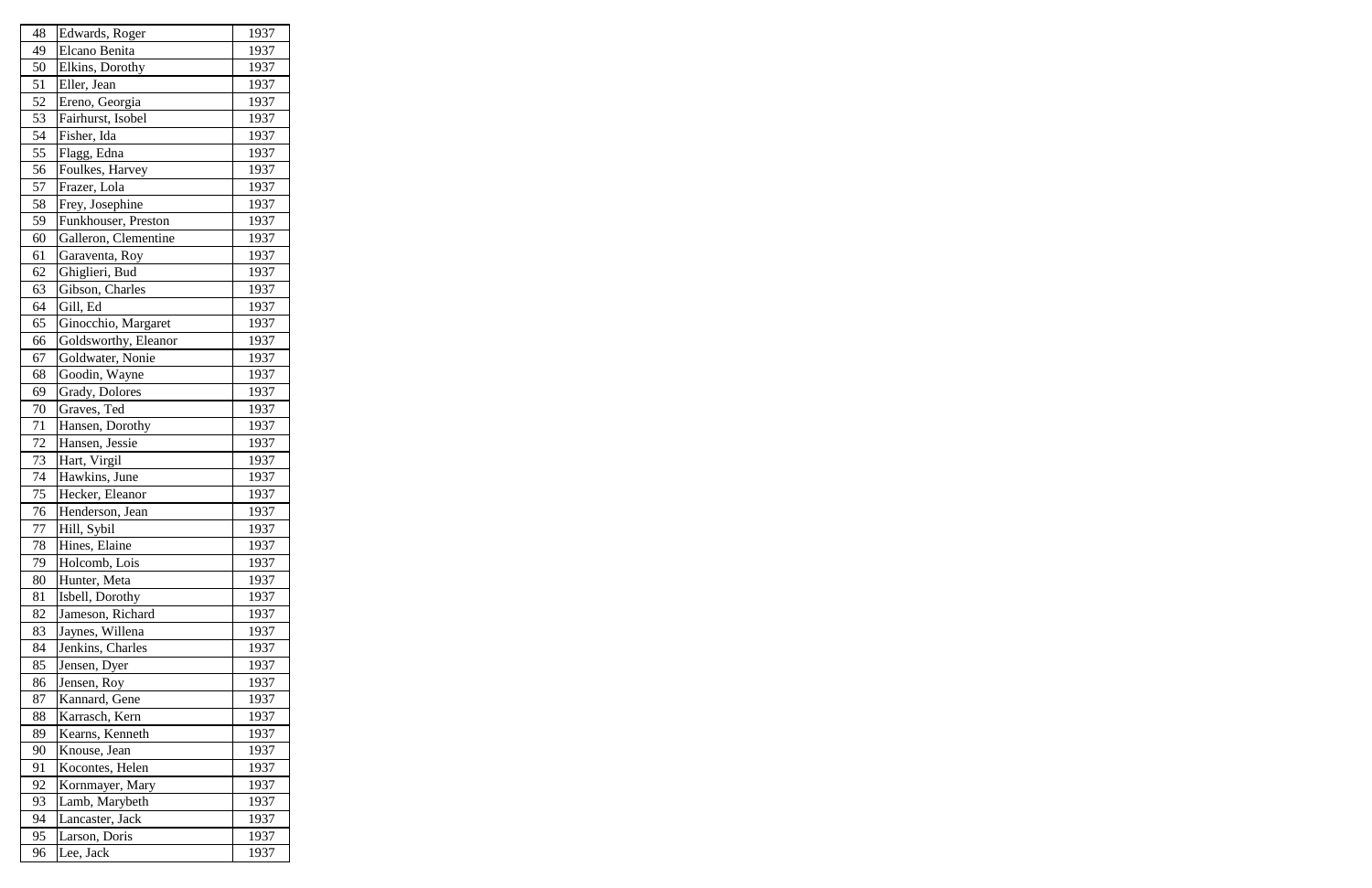| 48 | Edwards, Roger       | 1937 |
|----|----------------------|------|
| 49 | Elcano Benita        | 1937 |
| 50 | Elkins, Dorothy      | 1937 |
| 51 | Eller, Jean          | 1937 |
| 52 | Ereno, Georgia       | 1937 |
| 53 | Fairhurst, Isobel    | 1937 |
| 54 | Fisher, Ida          | 1937 |
| 55 | Flagg, Edna          | 1937 |
| 56 | Foulkes, Harvey      | 1937 |
| 57 | Frazer, Lola         | 1937 |
| 58 | Frey, Josephine      | 1937 |
| 59 | Funkhouser, Preston  | 1937 |
| 60 | Galleron, Clementine | 1937 |
| 61 | Garaventa, Roy       | 1937 |
| 62 | Ghiglieri, Bud       | 1937 |
| 63 | Gibson, Charles      | 1937 |
| 64 | Gill, Ed             | 1937 |
| 65 | Ginocchio, Margaret  | 1937 |
| 66 | Goldsworthy, Eleanor | 1937 |
| 67 | Goldwater, Nonie     | 1937 |
| 68 | Goodin, Wayne        | 1937 |
| 69 | Grady, Dolores       | 1937 |
| 70 | Graves, Ted          | 1937 |
| 71 | Hansen, Dorothy      | 1937 |
| 72 | Hansen, Jessie       | 1937 |
| 73 | Hart, Virgil         | 1937 |
| 74 | Hawkins, June        | 1937 |
| 75 | Hecker, Eleanor      | 1937 |
| 76 | Henderson, Jean      | 1937 |
| 77 | Hill, Sybil          | 1937 |
| 78 | Hines, Elaine        | 1937 |
| 79 | Holcomb, Lois        | 1937 |
| 80 | Hunter, Meta         | 1937 |
| 81 | Isbell, Dorothy      | 1937 |
| 82 | Jameson, Richard     | 1937 |
| 83 | Jaynes, Willena      | 1937 |
| 84 | Jenkins, Charles     | 1937 |
| 85 | Jensen, Dyer         | 1937 |
| 86 | Jensen, Roy          | 1937 |
| 87 | Kannard, Gene        | 1937 |
| 88 | Karrasch, Kern       | 1937 |
| 89 | Kearns, Kenneth      | 1937 |
| 90 | Knouse, Jean         | 1937 |
| 91 | Kocontes, Helen      | 1937 |
| 92 | Kornmayer, Mary      | 1937 |
| 93 | Lamb, Marybeth       | 1937 |
| 94 | Lancaster, Jack      | 1937 |
| 95 | Larson, Doris        | 1937 |
| 96 | Lee, Jack            | 1937 |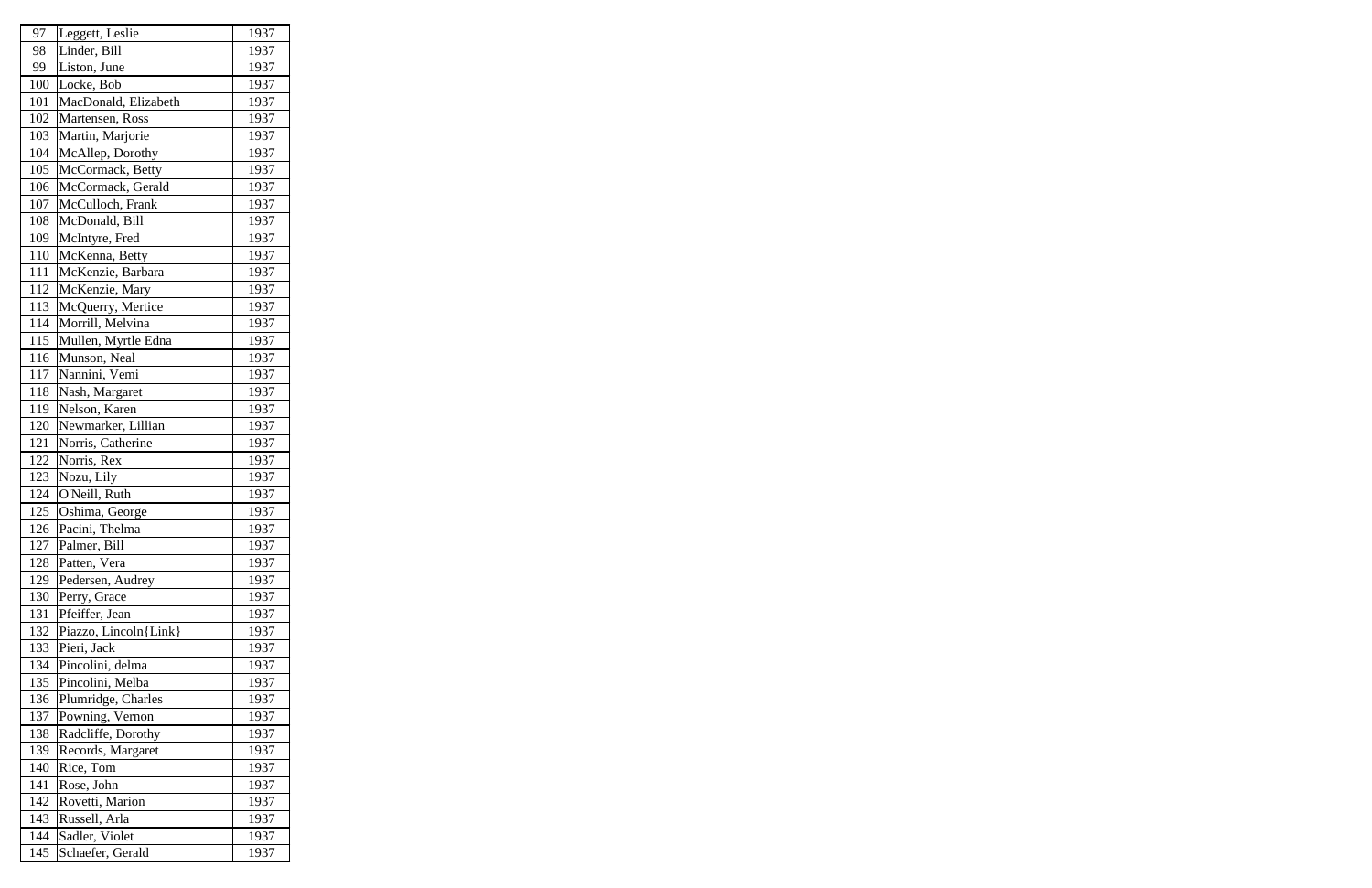| 97  | Leggett, Leslie       | 1937 |
|-----|-----------------------|------|
| 98  | Linder, Bill          | 1937 |
| 99  | Liston, June          | 1937 |
| 100 | Locke, Bob            | 1937 |
| 101 | MacDonald, Elizabeth  | 1937 |
| 102 | Martensen, Ross       | 1937 |
| 103 | Martin, Marjorie      | 1937 |
| 104 | McAllep, Dorothy      | 1937 |
| 105 | McCormack, Betty      | 1937 |
| 106 | McCormack, Gerald     | 1937 |
| 107 | McCulloch, Frank      | 1937 |
| 108 | McDonald, Bill        | 1937 |
| 109 | McIntyre, Fred        | 1937 |
| 110 | McKenna, Betty        | 1937 |
| 111 | McKenzie, Barbara     | 1937 |
| 112 | McKenzie, Mary        | 1937 |
| 113 | McQuerry, Mertice     | 1937 |
| 114 | Morrill, Melvina      | 1937 |
| 115 | Mullen, Myrtle Edna   | 1937 |
| 116 | Munson, Neal          | 1937 |
| 117 | Nannini, Vemi         | 1937 |
| 118 | Nash, Margaret        | 1937 |
| 119 | Nelson, Karen         | 1937 |
| 120 | Newmarker, Lillian    | 1937 |
| 121 | Norris, Catherine     | 1937 |
| 122 | Norris, Rex           | 1937 |
| 123 | Nozu, Lily            | 1937 |
| 124 | O'Neill, Ruth         | 1937 |
| 125 | Oshima, George        | 1937 |
| 126 | Pacini, Thelma        | 1937 |
| 127 | Palmer, Bill          | 1937 |
| 128 | Patten, Vera          | 1937 |
| 129 | Pedersen, Audrey      | 1937 |
| 130 | Perry, Grace          | 1937 |
| 131 | Pfeiffer, Jean        | 1937 |
| 132 | Piazzo, Lincoln{Link} | 1937 |
| 133 | Pieri, Jack           | 1937 |
| 134 | Pincolini, delma      | 1937 |
| 135 | Pincolini, Melba      | 1937 |
| 136 | Plumridge, Charles    | 1937 |
| 137 | Powning, Vernon       | 1937 |
| 138 | Radcliffe, Dorothy    | 1937 |
| 139 | Records, Margaret     | 1937 |
| 140 | Rice, Tom             | 1937 |
| 141 | Rose, John            | 1937 |
| 142 | Rovetti, Marion       | 1937 |
| 143 | Russell, Arla         | 1937 |
| 144 | Sadler, Violet        | 1937 |
| 145 | Schaefer, Gerald      | 1937 |